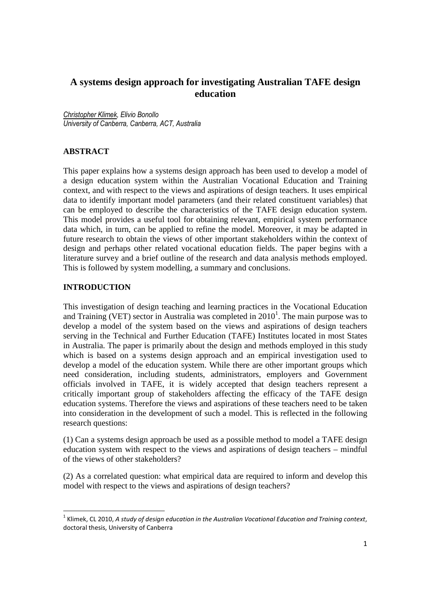# **A systems design approach for investigating Australian TAFE design education**

Christopher Klimek, Elivio Bonollo University of Canberra, Canberra, ACT, Australia

## **ABSTRACT**

This paper explains how a systems design approach has been used to develop a model of a design education system within the Australian Vocational Education and Training context, and with respect to the views and aspirations of design teachers. It uses empirical data to identify important model parameters (and their related constituent variables) that can be employed to describe the characteristics of the TAFE design education system. This model provides a useful tool for obtaining relevant, empirical system performance data which, in turn, can be applied to refine the model. Moreover, it may be adapted in future research to obtain the views of other important stakeholders within the context of design and perhaps other related vocational education fields. The paper begins with a literature survey and a brief outline of the research and data analysis methods employed. This is followed by system modelling, a summary and conclusions.

## **INTRODUCTION**

 $\overline{a}$ 

This investigation of design teaching and learning practices in the Vocational Education and Training (VET) sector in Australia was completed in  $2010<sup>1</sup>$ . The main purpose was to develop a model of the system based on the views and aspirations of design teachers serving in the Technical and Further Education (TAFE) Institutes located in most States in Australia. The paper is primarily about the design and methods employed in this study which is based on a systems design approach and an empirical investigation used to develop a model of the education system. While there are other important groups which need consideration, including students, administrators, employers and Government officials involved in TAFE, it is widely accepted that design teachers represent a critically important group of stakeholders affecting the efficacy of the TAFE design education systems. Therefore the views and aspirations of these teachers need to be taken into consideration in the development of such a model. This is reflected in the following research questions:

(1) Can a systems design approach be used as a possible method to model a TAFE design education system with respect to the views and aspirations of design teachers – mindful of the views of other stakeholders?

(2) As a correlated question: what empirical data are required to inform and develop this model with respect to the views and aspirations of design teachers?

 $^{\rm 1}$  Klimek, CL 2010, A study of design education in the Australian Vocational Education and Training context, doctoral thesis, University of Canberra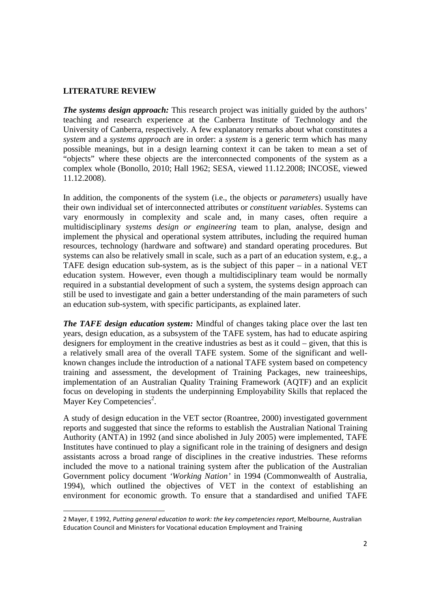## **LITERATURE REVIEW**

 $\overline{a}$ 

*The systems design approach:* This research project was initially guided by the authors' teaching and research experience at the Canberra Institute of Technology and the University of Canberra, respectively. A few explanatory remarks about what constitutes a *system* and a *systems approach* are in order: a *system* is a generic term which has many possible meanings, but in a design learning context it can be taken to mean a set of "objects" where these objects are the interconnected components of the system as a complex whole (Bonollo, 2010; Hall 1962; SESA, viewed 11.12.2008; INCOSE, viewed 11.12.2008).

In addition, the components of the system (i.e., the objects or *parameters*) usually have their own individual set of interconnected attributes or *constituent variables*. Systems can vary enormously in complexity and scale and, in many cases, often require a multidisciplinary *systems design or engineering* team to plan, analyse, design and implement the physical and operational system attributes, including the required human resources, technology (hardware and software) and standard operating procedures. But systems can also be relatively small in scale, such as a part of an education system, e.g., a TAFE design education sub-system, as is the subject of this paper – in a national VET education system. However, even though a multidisciplinary team would be normally required in a substantial development of such a system, the systems design approach can still be used to investigate and gain a better understanding of the main parameters of such an education sub-system, with specific participants, as explained later.

*The TAFE design education system:* Mindful of changes taking place over the last ten years, design education, as a subsystem of the TAFE system, has had to educate aspiring designers for employment in the creative industries as best as it could – given, that this is a relatively small area of the overall TAFE system. Some of the significant and wellknown changes include the introduction of a national TAFE system based on competency training and assessment, the development of Training Packages, new traineeships, implementation of an Australian Quality Training Framework (AQTF) and an explicit focus on developing in students the underpinning Employability Skills that replaced the Mayer Key Competencies<sup>2</sup>.

A study of design education in the VET sector (Roantree, 2000) investigated government reports and suggested that since the reforms to establish the Australian National Training Authority (ANTA) in 1992 (and since abolished in July 2005) were implemented, TAFE Institutes have continued to play a significant role in the training of designers and design assistants across a broad range of disciplines in the creative industries. These reforms included the move to a national training system after the publication of the Australian Government policy document *'Working Nation'* in 1994 (Commonwealth of Australia, 1994), which outlined the objectives of VET in the context of establishing an environment for economic growth. To ensure that a standardised and unified TAFE

<sup>2</sup> Mayer, E 1992, Putting general education to work: the key competencies report, Melbourne, Australian Education Council and Ministers for Vocational education Employment and Training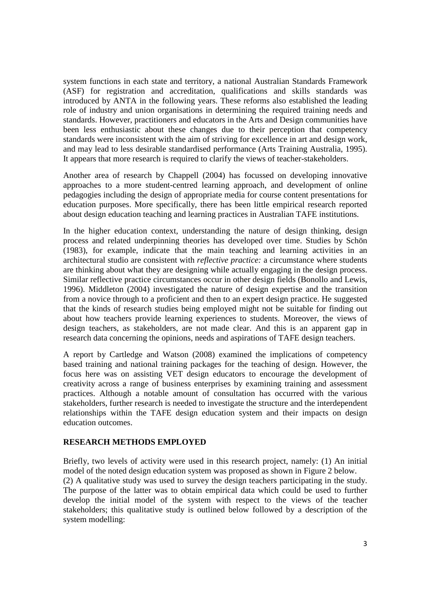system functions in each state and territory, a national Australian Standards Framework (ASF) for registration and accreditation, qualifications and skills standards was introduced by ANTA in the following years. These reforms also established the leading role of industry and union organisations in determining the required training needs and standards. However, practitioners and educators in the Arts and Design communities have been less enthusiastic about these changes due to their perception that competency standards were inconsistent with the aim of striving for excellence in art and design work, and may lead to less desirable standardised performance (Arts Training Australia, 1995). It appears that more research is required to clarify the views of teacher-stakeholders.

Another area of research by Chappell (2004) has focussed on developing innovative approaches to a more student-centred learning approach, and development of online pedagogies including the design of appropriate media for course content presentations for education purposes. More specifically, there has been little empirical research reported about design education teaching and learning practices in Australian TAFE institutions.

In the higher education context, understanding the nature of design thinking, design process and related underpinning theories has developed over time. Studies by Schön (1983), for example, indicate that the main teaching and learning activities in an architectural studio are consistent with *reflective practice:* a circumstance where students are thinking about what they are designing while actually engaging in the design process. Similar reflective practice circumstances occur in other design fields (Bonollo and Lewis, 1996). Middleton (2004) investigated the nature of design expertise and the transition from a novice through to a proficient and then to an expert design practice. He suggested that the kinds of research studies being employed might not be suitable for finding out about how teachers provide learning experiences to students. Moreover, the views of design teachers, as stakeholders, are not made clear. And this is an apparent gap in research data concerning the opinions, needs and aspirations of TAFE design teachers.

A report by Cartledge and Watson (2008) examined the implications of competency based training and national training packages for the teaching of design. However, the focus here was on assisting VET design educators to encourage the development of creativity across a range of business enterprises by examining training and assessment practices. Although a notable amount of consultation has occurred with the various stakeholders, further research is needed to investigate the structure and the interdependent relationships within the TAFE design education system and their impacts on design education outcomes.

#### **RESEARCH METHODS EMPLOYED**

Briefly, two levels of activity were used in this research project, namely: (1) An initial model of the noted design education system was proposed as shown in Figure 2 below. (2) A qualitative study was used to survey the design teachers participating in the study. The purpose of the latter was to obtain empirical data which could be used to further develop the initial model of the system with respect to the views of the teacher stakeholders; this qualitative study is outlined below followed by a description of the system modelling: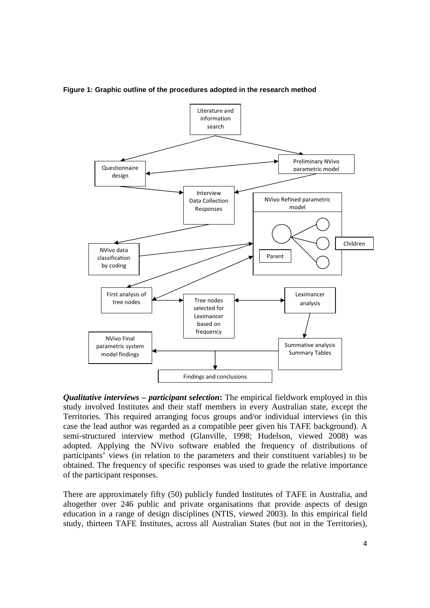

**Figure 1: Graphic outline of the procedures adopted in the research method** 

*Qualitative interviews – participant selection***:** The empirical fieldwork employed in this study involved Institutes and their staff members in every Australian state, except the Territories. This required arranging focus groups and/or individual interviews (in this case the lead author was regarded as a compatible peer given his TAFE background). A semi-structured interview method (Glanville, 1998; Hudelson, viewed 2008) was adopted. Applying the NVivo software enabled the frequency of distributions of participants' views (in relation to the parameters and their constituent variables) to be obtained. The frequency of specific responses was used to grade the relative importance of the participant responses.

There are approximately fifty (50) publicly funded Institutes of TAFE in Australia, and altogether over 246 public and private organisations that provide aspects of design education in a range of design disciplines (NTIS, viewed 2003). In this empirical field study, thirteen TAFE Institutes, across all Australian States (but not in the Territories),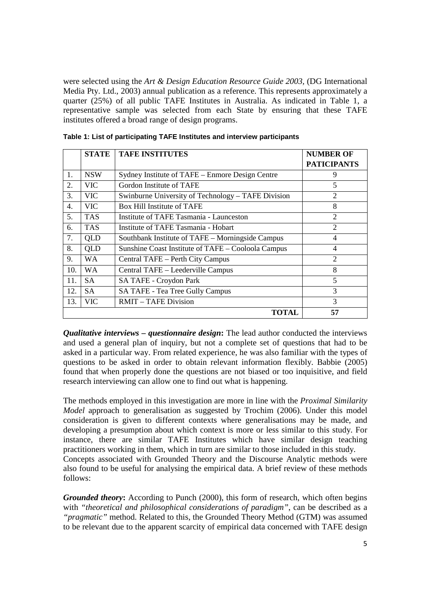were selected using the *Art & Design Education Resource Guide 2003,* (DG International Media Pty. Ltd., 2003) annual publication as a reference. This represents approximately a quarter (25%) of all public TAFE Institutes in Australia. As indicated in Table 1, a representative sample was selected from each State by ensuring that these TAFE institutes offered a broad range of design programs.

|     | <b>STATE</b> | <b>TAFE INSTITUTES</b>                             | <b>NUMBER OF</b>            |
|-----|--------------|----------------------------------------------------|-----------------------------|
|     |              |                                                    | <b>PATICIPANTS</b>          |
| 1.  | <b>NSW</b>   | Sydney Institute of TAFE – Enmore Design Centre    | 9                           |
| 2.  | <b>VIC</b>   | Gordon Institute of TAFE                           | 5                           |
| 3.  | VIC          | Swinburne University of Technology – TAFE Division | $\overline{2}$              |
| 4.  | VIC.         | Box Hill Institute of TAFE                         | 8                           |
| 5.  | <b>TAS</b>   | Institute of TAFE Tasmania - Launceston            | $\overline{2}$              |
| 6.  | <b>TAS</b>   | Institute of TAFE Tasmania - Hobart                | $\overline{2}$              |
| 7.  | <b>QLD</b>   | Southbank Institute of TAFE - Morningside Campus   | 4                           |
| 8.  | QLD          | Sunshine Coast Institute of TAFE - Cooloola Campus | 4                           |
| 9.  | WA.          | Central TAFE – Perth City Campus                   | $\mathcal{D}_{\mathcal{L}}$ |
| 10. | WA.          | Central TAFE - Leederville Campus                  | 8                           |
| 11. | <b>SA</b>    | SA TAFE - Croydon Park                             | 5                           |
| 12. | SA.          | SA TAFE - Tea Tree Gully Campus                    | 3                           |
| 13. | VIC          | <b>RMIT – TAFE Division</b>                        | 3                           |
|     |              | TOTAL                                              | 57                          |

*Qualitative interviews – questionnaire design***:** The lead author conducted the interviews and used a general plan of inquiry, but not a complete set of questions that had to be asked in a particular way. From related experience, he was also familiar with the types of questions to be asked in order to obtain relevant information flexibly. Babbie (2005) found that when properly done the questions are not biased or too inquisitive, and field research interviewing can allow one to find out what is happening.

The methods employed in this investigation are more in line with the *Proximal Similarity Model* approach to generalisation as suggested by Trochim (2006). Under this model consideration is given to different contexts where generalisations may be made, and developing a presumption about which context is more or less similar to this study. For instance, there are similar TAFE Institutes which have similar design teaching practitioners working in them, which in turn are similar to those included in this study. Concepts associated with Grounded Theory and the Discourse Analytic methods were also found to be useful for analysing the empirical data. A brief review of these methods follows:

*Grounded theory***:** According to Punch (2000), this form of research, which often begins with *"theoretical and philosophical considerations of paradigm"*, can be described as a *"pragmatic"* method. Related to this, the Grounded Theory Method (GTM) was assumed to be relevant due to the apparent scarcity of empirical data concerned with TAFE design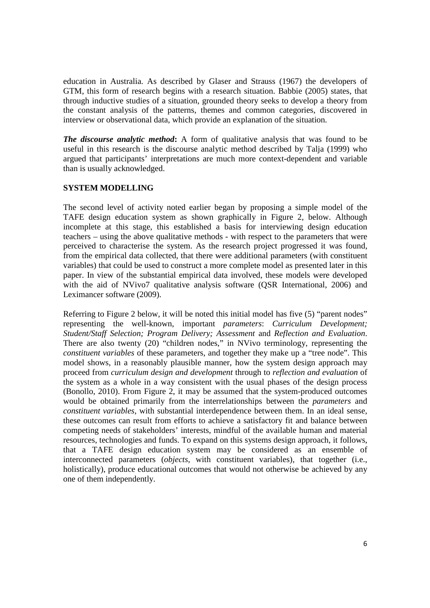education in Australia. As described by Glaser and Strauss (1967) the developers of GTM, this form of research begins with a research situation. Babbie (2005) states, that through inductive studies of a situation, grounded theory seeks to develop a theory from the constant analysis of the patterns, themes and common categories, discovered in interview or observational data, which provide an explanation of the situation.

*The discourse analytic method***:** A form of qualitative analysis that was found to be useful in this research is the discourse analytic method described by Talja (1999) who argued that participants' interpretations are much more context-dependent and variable than is usually acknowledged.

## **SYSTEM MODELLING**

The second level of activity noted earlier began by proposing a simple model of the TAFE design education system as shown graphically in Figure 2, below. Although incomplete at this stage, this established a basis for interviewing design education teachers – using the above qualitative methods - with respect to the parameters that were perceived to characterise the system. As the research project progressed it was found, from the empirical data collected, that there were additional parameters (with constituent variables) that could be used to construct a more complete model as presented later in this paper. In view of the substantial empirical data involved, these models were developed with the aid of NVivo7 qualitative analysis software (QSR International, 2006) and Leximancer software (2009).

Referring to Figure 2 below, it will be noted this initial model has five (5) "parent nodes" representing the well-known, important *parameters*: *Curriculum Development; Student/Staff Selection; Program Delivery; Assessment* and *Reflection and Evaluation*. There are also twenty (20) "children nodes," in NVivo terminology, representing the *constituent variables* of these parameters, and together they make up a "tree node". This model shows, in a reasonably plausible manner, how the system design approach may proceed from *curriculum design and development* through to *reflection and evaluation* of the system as a whole in a way consistent with the usual phases of the design process (Bonollo, 2010). From Figure 2, it may be assumed that the system-produced outcomes would be obtained primarily from the interrelationships between the *parameters* and *constituent variables*, with substantial interdependence between them. In an ideal sense, these outcomes can result from efforts to achieve a satisfactory fit and balance between competing needs of stakeholders' interests, mindful of the available human and material resources, technologies and funds. To expand on this systems design approach, it follows, that a TAFE design education system may be considered as an ensemble of interconnected parameters (*objects*, with constituent variables), that together (i.e., holistically), produce educational outcomes that would not otherwise be achieved by any one of them independently.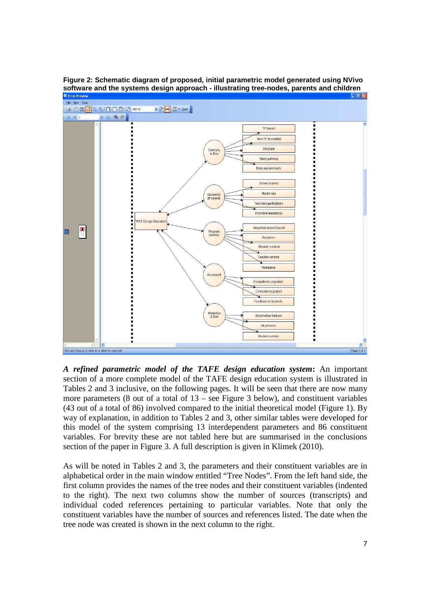

**Figure 2: Schematic diagram of proposed, initial parametric model generated using NVivo software and the systems design approach - illustrating tree-nodes, parents and children** 

*A refined parametric model of the TAFE design education system***:** An important section of a more complete model of the TAFE design education system is illustrated in Tables 2 and 3 inclusive, on the following pages. It will be seen that there are now many more parameters (8 out of a total of 13 – see Figure 3 below), and constituent variables (43 out of a total of 86) involved compared to the initial theoretical model (Figure 1). By way of explanation, in addition to Tables 2 and 3, other similar tables were developed for this model of the system comprising 13 interdependent parameters and 86 constituent variables. For brevity these are not tabled here but are summarised in the conclusions section of the paper in Figure 3. A full description is given in Klimek (2010).

As will be noted in Tables 2 and 3, the parameters and their constituent variables are in alphabetical order in the main window entitled "Tree Nodes". From the left hand side, the first column provides the names of the tree nodes and their constituent variables (indented to the right). The next two columns show the number of sources (transcripts) and individual coded references pertaining to particular variables. Note that only the constituent variables have the number of sources and references listed. The date when the tree node was created is shown in the next column to the right.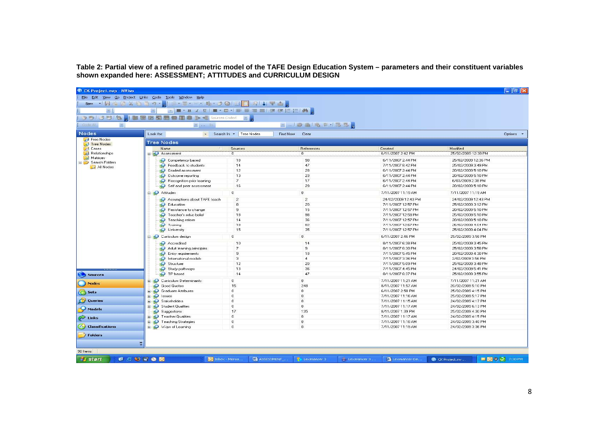**Table 2: Partial view of a refined parametric model of the TAFE Design Education System – parameters and their constituent variables shown expanded here: ASSESSMENT; ATTITUDES and CURRICULUM DESIGN**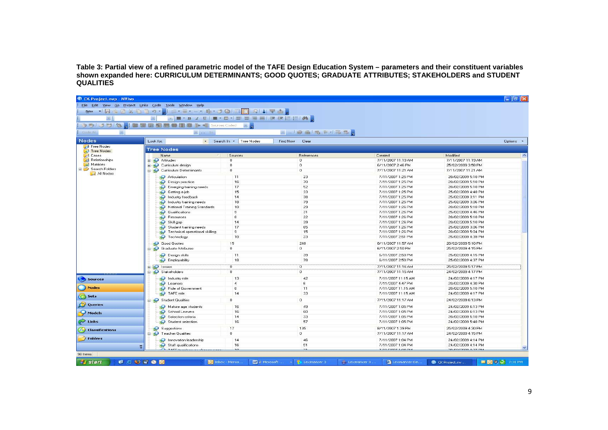Table 3: Partial view of a refined parametric model of the TAFE Design Education System – parameters and their constituent variables<br>shown expanded here: CURRICULUM DETERMINANTS; GOOD QUOTES; GRADUATE ATTRIBUTES; STAKEHOLD

|                                     | File Edit View Go Project Links Code Tools Window Help<br>New * H & @ X @ S 0 * H = * = * - * Mr * 8 0 10 F A   1 + 4 } |                             |                |                                         |                                          |
|-------------------------------------|-------------------------------------------------------------------------------------------------------------------------|-----------------------------|----------------|-----------------------------------------|------------------------------------------|
| $=$ $\Box$                          |                                                                                                                         | ▼■▼B / U  ■▼ロマ 事事理目 違非に狂 角。 |                |                                         |                                          |
|                                     |                                                                                                                         |                             |                |                                         |                                          |
|                                     | うち 3 3 3 日 田田田田田田田田   1 1 Sources Coded                                                                                 |                             |                |                                         |                                          |
| <b>COL</b>                          | <b>Explored In</b>                                                                                                      |                             | - 山野島馬主州馬島     |                                         |                                          |
|                                     | Look for:                                                                                                               | > Search In > Tree Nodes    | Find Now Clear |                                         |                                          |
| Free Nodes                          | <b>Tree Nodes</b>                                                                                                       |                             |                |                                         |                                          |
| <b>C</b> Tree Nodes<br><b>Cases</b> | Name                                                                                                                    | Sources                     | References     | Created                                 | Modified                                 |
| <b>Relationships</b>                | <b>ED</b> Attitudes                                                                                                     | n                           | n              | 7/11/2007 11:19 AM                      | 7/11/2007 11:19 AM                       |
| Matrices                            | Curriculum design<br>Œŀ.                                                                                                | n                           | $\circ$        | 6/11/2007 2:46 PM                       | 25/02/2009 3:58 PM                       |
| Search Folders                      | Curriculum Determinants                                                                                                 | n                           | $\Omega$       | 7/11/2007 11:21 AM                      | 7/11/2007 11:21 AM                       |
| All Nodes                           |                                                                                                                         | 11                          | 23             |                                         | 20/02/2009 5:10 PM                       |
|                                     | Articulation                                                                                                            | 16                          | 70             | 7/11/2007 1:25 PM<br>7/11/2007 1:25 PM  | 20/02/2009 5:10 PM                       |
|                                     | Design practice                                                                                                         | 17                          | 52             | 7/11/2007 1:25 PM                       | 20/02/2009 5:10 PM                       |
|                                     | Emerging training needs<br>Getting a job                                                                                | 15                          | 33             | 7/11/2007 1:25 PM                       | 25/02/2009 4:48 PM                       |
|                                     | Industry feedback                                                                                                       | 14                          | 38             | 7/11/2007 1:25 PM                       | 25/02/2009 3:11 PM                       |
|                                     | Industry training needs                                                                                                 | 18                          | 79             | 7/11/2007 1:25 PM                       | 25/02/2009 3:06 PM                       |
|                                     | National Training Standards                                                                                             | 10                          | 29             | 7/11/2007 1:26 PM                       | 20/02/2009 5:10 PM                       |
|                                     | Qualifications                                                                                                          | 9                           | 31             | 7/11/2007 1:26 PM                       | 25/02/2009 4:46 PM                       |
|                                     | Resources                                                                                                               | 8                           | 22             | 7/11/2007 1:26 PM                       | 20/02/2009 5:10 PM                       |
|                                     | Skill gap                                                                                                               | 14                          | 39             | 7/11/2007 1:26 PM                       | 20/02/2009 5:10 PM                       |
|                                     | Student training needs                                                                                                  | 17                          | 65             | 7/11/2007 1:26 PM                       | 25/02/2009 3:06 PM                       |
|                                     | Technical operational skilling                                                                                          | э                           | 15             | 7/11/2007 1:26 PM                       | 20/02/2009 5:04 PM                       |
|                                     | Technology                                                                                                              | 10                          | 23             | 7/11/2007 2:51 PM                       | 25/02/2009 4:39 PM                       |
|                                     |                                                                                                                         |                             |                |                                         |                                          |
|                                     | Good Quotes                                                                                                             | 15<br>$\mathbf 0$           | 248<br>0       | 8/11/2007 11:57 AM<br>6/11/2007 2:50 PM | 20/02/2009 5:10 PM<br>25/02/2009 4:15 PM |
|                                     | <b>S</b> Graduate Attributes                                                                                            |                             |                |                                         |                                          |
|                                     | Design skills                                                                                                           | 11                          | 39             | 6/11/2007 2:50 PM                       | 25/02/2009 4:15 PM                       |
|                                     | Employability                                                                                                           | 18                          | 78             | 6/11/2007 2:50 PM                       | 25/02/2009 4:37 PM                       |
|                                     | <b>BO</b> Issues                                                                                                        | ö                           | ö              | 7/11/2007 11:16 AM                      | 25/02/2009 5:17 PM                       |
|                                     | Stakeholders                                                                                                            | $\Omega$                    | $\sigma$       | 7/11/2007 11:15 AM                      | 24/02/2009 4:17 PM                       |
|                                     | Industry role                                                                                                           | 13                          | 42             | 7/11/2007 11:15 AM                      | 24/02/2009 4:17 PM                       |
| Sources                             | Learners                                                                                                                | $\overline{4}$              | 6              | 7/11/2007 4:47 PM                       | 20/02/2009 4:30 PM                       |
|                                     | Role of Government                                                                                                      | $\mathbf{s}$                | 11             | 7/11/2007 11:15 AM                      | 20/02/2009 5:10 PM                       |
|                                     | TAFE role                                                                                                               | 14                          | 33             | 7/11/2007 11:15 AM                      | 24/02/2009 4:17 PM                       |
|                                     |                                                                                                                         | n                           | $\alpha$       | 7/11/2007 11:17 AM                      | 24/02/2009 6:13 PM                       |
| Queries                             | Student Qualities                                                                                                       |                             |                |                                         |                                          |
|                                     | Mature age students                                                                                                     | 16                          | 49             | 7/11/2007 1:05 PM                       | 24/02/2009 6:13 PM                       |
| Models                              | School Leavers                                                                                                          | 16                          | 60             | 7/11/2007 1:05 PM                       | 24/02/2009 6:13 PM                       |
|                                     | Selection criteria                                                                                                      | 14                          | 33             | 7/11/2007 1:05 PM                       | 20/02/2009 5:10 PM                       |
|                                     | Student selection                                                                                                       | 16                          | 57             | 7/11/2007 1:05 PM                       | 24/02/2009 5:48 PM                       |
| 4 Classifications                   | Suggestions                                                                                                             | 17                          | 135            | 8/11/2007 1:39 PM                       | 25/02/2009 4:30 PM                       |
|                                     | <b>E-80</b> Teacher Qualities                                                                                           | n                           | 0              | 7/11/2007 11:17 AM                      | 24/02/2009 4:15 PM                       |
| <b>Folders</b>                      | Innovation leadership                                                                                                   | 14                          | 46             | 7/11/2007 1:04 PM                       | 24/02/2009 4:14 PM                       |
|                                     | Staff qualifications                                                                                                    | 16                          | 51             | 7/11/2007 1:04 PM                       | 24/02/2009 4:14 PM                       |
|                                     | TACCA-salar                                                                                                             |                             |                | <b>221120071.04.011</b>                 | 2010212000 4.27 BM                       |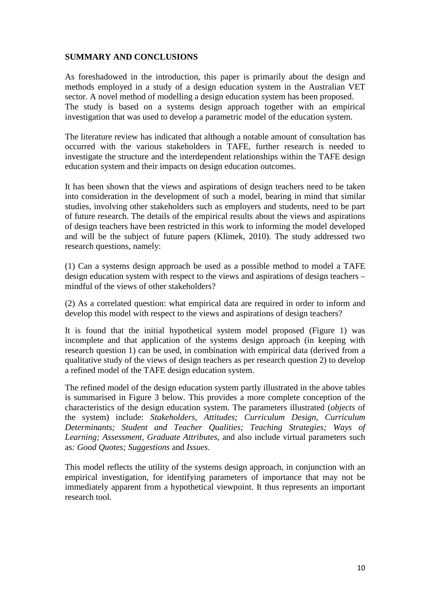## **SUMMARY AND CONCLUSIONS**

As foreshadowed in the introduction, this paper is primarily about the design and methods employed in a study of a design education system in the Australian VET sector. A novel method of modelling a design education system has been proposed. The study is based on a systems design approach together with an empirical investigation that was used to develop a parametric model of the education system.

The literature review has indicated that although a notable amount of consultation has occurred with the various stakeholders in TAFE, further research is needed to investigate the structure and the interdependent relationships within the TAFE design education system and their impacts on design education outcomes.

It has been shown that the views and aspirations of design teachers need to be taken into consideration in the development of such a model, bearing in mind that similar studies, involving other stakeholders such as employers and students, need to be part of future research. The details of the empirical results about the views and aspirations of design teachers have been restricted in this work to informing the model developed and will be the subject of future papers (Klimek, 2010). The study addressed two research questions, namely:

(1) Can a systems design approach be used as a possible method to model a TAFE design education system with respect to the views and aspirations of design teachers – mindful of the views of other stakeholders?

(2) As a correlated question: what empirical data are required in order to inform and develop this model with respect to the views and aspirations of design teachers?

It is found that the initial hypothetical system model proposed (Figure 1) was incomplete and that application of the systems design approach (in keeping with research question 1) can be used, in combination with empirical data (derived from a qualitative study of the views of design teachers as per research question 2) to develop a refined model of the TAFE design education system.

The refined model of the design education system partly illustrated in the above tables is summarised in Figure 3 below. This provides a more complete conception of the characteristics of the design education system. The parameters illustrated (*objects* of the system) include: *Stakeholders, Attitudes; Curriculum Design, Curriculum Determinants; Student and Teacher Qualities; Teaching Strategies; Ways of Learning; Assessment, Graduate Attributes,* and also include virtual parameters such as*: Good Quotes; Suggestions* and *Issues*.

This model reflects the utility of the systems design approach, in conjunction with an empirical investigation, for identifying parameters of importance that may not be immediately apparent from a hypothetical viewpoint. It thus represents an important research tool.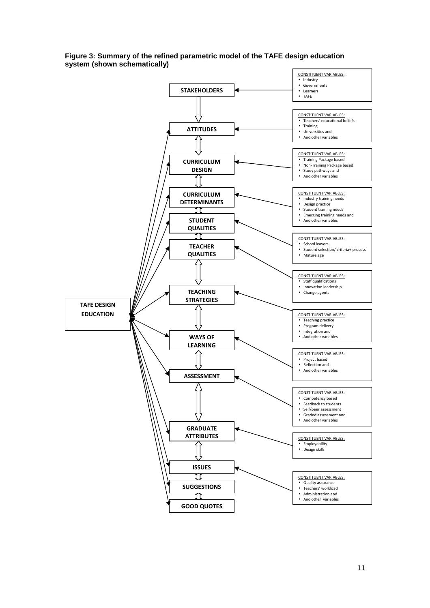

#### **Figure 3: Summary of the refined parametric model of the TAFE design education system (shown schematically)**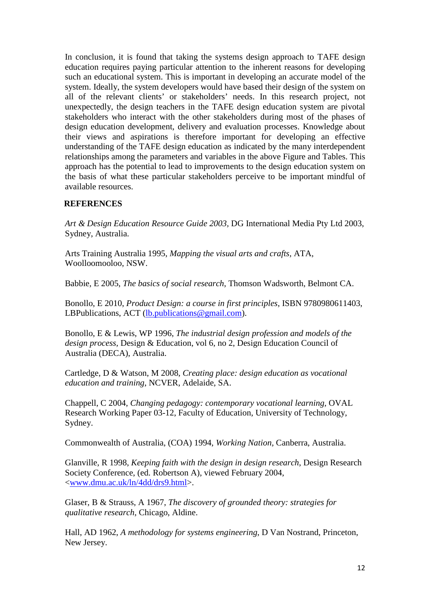In conclusion, it is found that taking the systems design approach to TAFE design education requires paying particular attention to the inherent reasons for developing such an educational system. This is important in developing an accurate model of the system. Ideally, the system developers would have based their design of the system on all of the relevant clients' or stakeholders' needs. In this research project, not unexpectedly, the design teachers in the TAFE design education system are pivotal stakeholders who interact with the other stakeholders during most of the phases of design education development, delivery and evaluation processes. Knowledge about their views and aspirations is therefore important for developing an effective understanding of the TAFE design education as indicated by the many interdependent relationships among the parameters and variables in the above Figure and Tables. This approach has the potential to lead to improvements to the design education system on the basis of what these particular stakeholders perceive to be important mindful of available resources.

## **REFERENCES**

*Art & Design Education Resource Guide 2003,* DG International Media Pty Ltd 2003, Sydney, Australia.

Arts Training Australia 1995, *Mapping the visual arts and crafts,* ATA, Woolloomooloo, NSW.

Babbie, E 2005, *The basics of social research*, Thomson Wadsworth, Belmont CA.

Bonollo, E 2010, *Product Design: a course in first principles*, ISBN 9780980611403, LBPublications, ACT (lb.publications@gmail.com).

Bonollo, E & Lewis, WP 1996, *The industrial design profession and models of the design process,* Design & Education, vol 6, no 2, Design Education Council of Australia (DECA), Australia.

Cartledge, D & Watson, M 2008, *Creating place: design education as vocational education and training*, NCVER, Adelaide, SA.

Chappell, C 2004, *Changing pedagogy: contemporary vocational learning,* OVAL Research Working Paper 03-12, Faculty of Education, University of Technology, Sydney.

Commonwealth of Australia, (COA) 1994, *Working Nation,* Canberra, Australia.

Glanville, R 1998, *Keeping faith with the design in design research*, Design Research Society Conference, (ed. Robertson A), viewed February 2004, <www.dmu.ac.uk/ln/4dd/drs9.html>.

Glaser, B & Strauss, A 1967, *The discovery of grounded theory: strategies for qualitative research*, Chicago, Aldine.

Hall, AD 1962, *A methodology for systems engineering*, D Van Nostrand, Princeton, New Jersey.